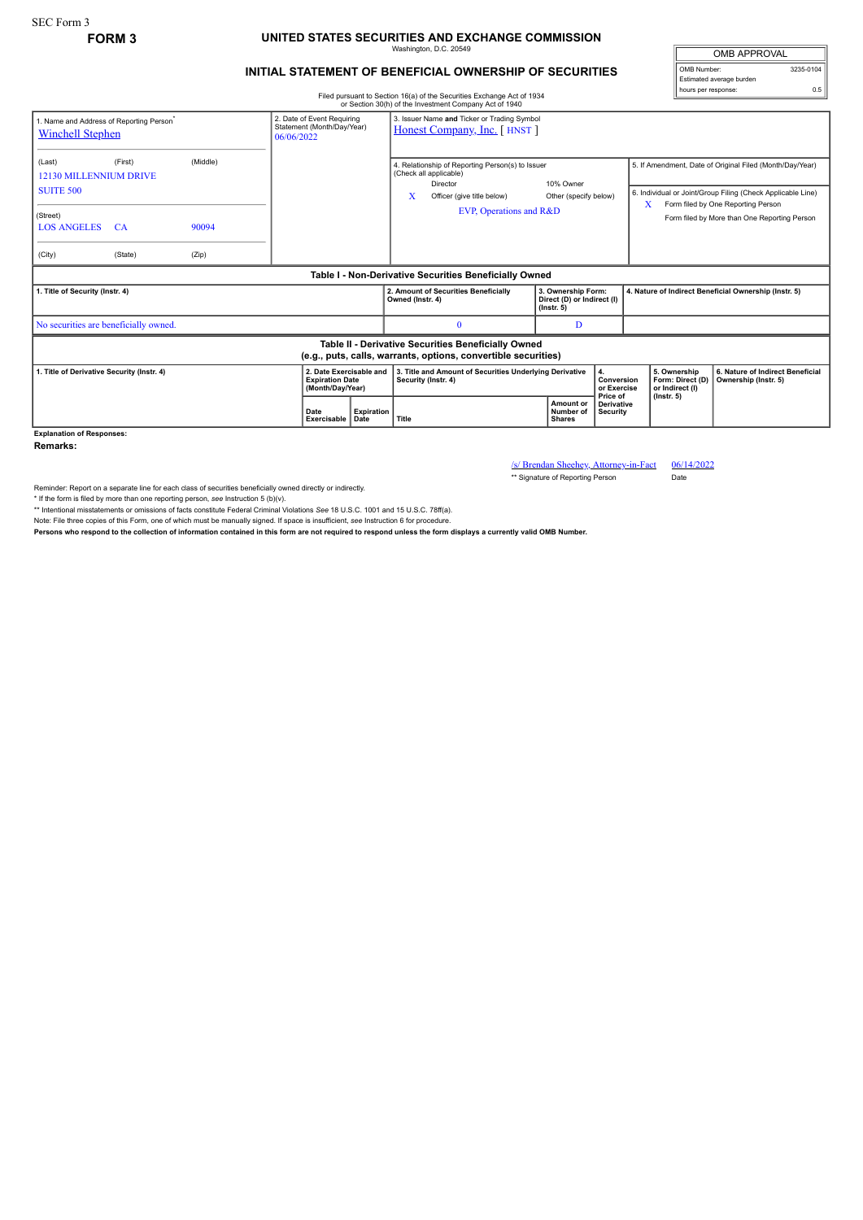## **FORM 3 UNITED STATES SECURITIES AND EXCHANGE COMMISSION** Washington, D.C. 20549

## **INITIAL STATEMENT OF BENEFICIAL OWNERSHIP OF SECURITIES**

OMB APPROVAL OMB Number: 3235-0104 Estimated average burden hours per response: 0.5

Filed pursuant to Section 16(a) of the Securities Exchange Act of 1934 or Section 30(h) of the Investment Company Act of 1940

| 1. Name and Address of Reporting Person <sup>*</sup><br><b>Winchell Stephen</b>                                       |                                 | 3. Issuer Name and Ticker or Trading Symbol<br>2. Date of Event Requiring<br>Statement (Month/Day/Year)<br>Honest Company, Inc. [HNST]<br>06/06/2022 |                     |                           |                                                                                                                   |                                                                                                                                                 |                                                                                      |                                                     |                                                       |                                                          |                                                                                                                                                                                                               |
|-----------------------------------------------------------------------------------------------------------------------|---------------------------------|------------------------------------------------------------------------------------------------------------------------------------------------------|---------------------|---------------------------|-------------------------------------------------------------------------------------------------------------------|-------------------------------------------------------------------------------------------------------------------------------------------------|--------------------------------------------------------------------------------------|-----------------------------------------------------|-------------------------------------------------------|----------------------------------------------------------|---------------------------------------------------------------------------------------------------------------------------------------------------------------------------------------------------------------|
| (Last)<br>12130 MILLENNIUM DRIVE<br><b>SUITE 500</b><br>(Street)<br><b>LOS ANGELES</b><br>(City)                      | (First)<br><b>CA</b><br>(State) | (Middle)<br>90094<br>(Zip)                                                                                                                           |                     |                           | х                                                                                                                 | 4. Relationship of Reporting Person(s) to Issuer<br>(Check all applicable)<br>Director<br>Officer (give title below)<br>EVP, Operations and R&D | 10% Owner<br>Other (specify below)                                                   |                                                     | X                                                     |                                                          | 5. If Amendment, Date of Original Filed (Month/Day/Year)<br>6. Individual or Joint/Group Filing (Check Applicable Line)<br>Form filed by One Reporting Person<br>Form filed by More than One Reporting Person |
| Table I - Non-Derivative Securities Beneficially Owned                                                                |                                 |                                                                                                                                                      |                     |                           |                                                                                                                   |                                                                                                                                                 |                                                                                      |                                                     |                                                       |                                                          |                                                                                                                                                                                                               |
| 1. Title of Security (Instr. 4)                                                                                       |                                 |                                                                                                                                                      |                     |                           | Owned (Instr. 4)                                                                                                  | 2. Amount of Securities Beneficially                                                                                                            | 3. Ownership Form:<br>Direct (D) or Indirect (I)<br>$($ lnstr. 5 $)$                 |                                                     | 4. Nature of Indirect Beneficial Ownership (Instr. 5) |                                                          |                                                                                                                                                                                                               |
| No securities are beneficially owned.                                                                                 |                                 |                                                                                                                                                      |                     |                           |                                                                                                                   | $\Omega$                                                                                                                                        | D                                                                                    |                                                     |                                                       |                                                          |                                                                                                                                                                                                               |
| Table II - Derivative Securities Beneficially Owned<br>(e.g., puts, calls, warrants, options, convertible securities) |                                 |                                                                                                                                                      |                     |                           |                                                                                                                   |                                                                                                                                                 |                                                                                      |                                                     |                                                       |                                                          |                                                                                                                                                                                                               |
| 2. Date Exercisable and<br>1. Title of Derivative Security (Instr. 4)<br><b>Expiration Date</b><br>(Month/Day/Year)   |                                 |                                                                                                                                                      |                     |                           | 3. Title and Amount of Securities Underlying Derivative<br>4.<br>Conversion<br>Security (Instr. 4)<br>or Exercise |                                                                                                                                                 |                                                                                      | 5. Ownership<br>Form: Direct (D)<br>or Indirect (I) |                                                       | 6. Nature of Indirect Beneficial<br>Ownership (Instr. 5) |                                                                                                                                                                                                               |
|                                                                                                                       |                                 |                                                                                                                                                      | Date<br>Exercisable | <b>Expiration</b><br>Date | Title                                                                                                             |                                                                                                                                                 | Price of<br>Amount or<br><b>Derivative</b><br>Number of<br>Security<br><b>Shares</b> |                                                     | $($ lnstr. 5 $)$                                      |                                                          |                                                                                                                                                                                                               |

**Explanation of Responses:**

**Remarks:**

/s/ Brendan Sheehey, Attorney-in-Fact 06/14/2022 \*\* Signature of Reporting Person Date

Reminder: Report on a separate line for each class of securities beneficially owned directly or indirectly.

\* If the form is filed by more than one reporting person, see Instruction 5 (b)(v).<br>\*\* Intentional misstatements or omissions of facts constitute Federal Criminal Violations See 18 U.S.C. 1001 and 15 U.S.C. 78ff(a).

Note: File three copies of this Form, one of which must be manually signed. If space is insufficient, *see* Instruction 6 for procedure.

**Persons who respond to the collection of information contained in this form are not required to respond unless the form displays a currently valid OMB Number.**